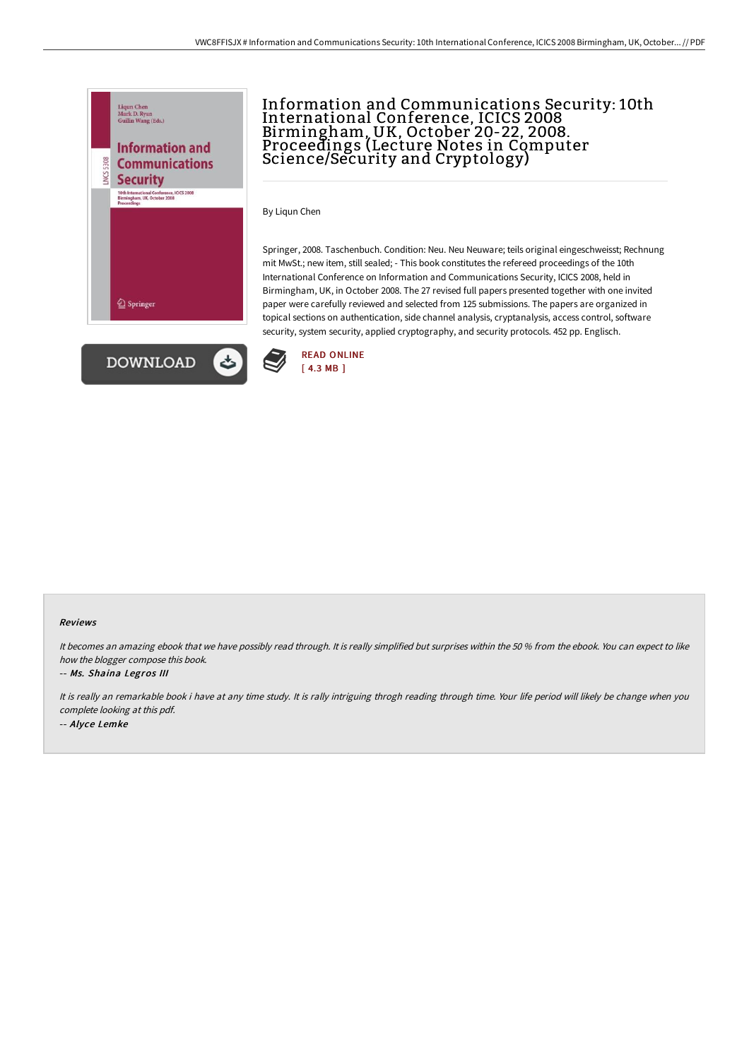



# Information and Communications Security: 10th International Conference, ICICS 2008 Birmingham, UK, October 20-22, 2008. Proceedings (Lecture Notes in Computer Science/Security and Cryptology)

By Liqun Chen

Springer, 2008. Taschenbuch. Condition: Neu. Neu Neuware; teils original eingeschweisst; Rechnung mit MwSt.; new item, still sealed; - This book constitutes the refereed proceedings of the 10th International Conference on Information and Communications Security, ICICS 2008, held in Birmingham, UK, in October 2008. The 27 revised full papers presented together with one invited paper were carefully reviewed and selected from 125 submissions. The papers are organized in topical sections on authentication, side channel analysis, cryptanalysis, access control, software security, system security, applied cryptography, and security protocols. 452 pp. Englisch.



#### Reviews

It becomes an amazing ebook that we have possibly read through. It is really simplified but surprises within the 50 % from the ebook. You can expect to like how the blogger compose this book.

#### -- Ms. Shaina Legros III

It is really an remarkable book i have at any time study. It is rally intriguing throgh reading through time. Your life period will likely be change when you complete looking at this pdf. -- Alyce Lemke